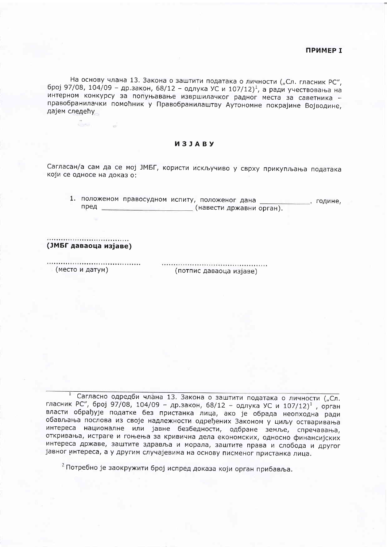На основу члана 13. Закона о заштити података о личности ("Сл. гласник РС", број 97/08, 104/09 - др.закон, 68/12 - одлука УС и 107/12)<sup>1</sup>, а ради учествовања на интерном конкурсу за попуњавање извршилачког радног места за саветника правобранилачки помоћник у Правобранилаштву Аутономне покрајине Војводине, дајем следећу

## *M3JABY*

Сагласан/а сам да се мој ЈМБГ, користи искључиво у сврху прикупљања података који се односе на доказ о:

1. положеном правосудном испиту, положеног дана . године, пред \_\_\_\_\_\_\_\_\_\_\_\_\_\_\_\_\_\_\_\_\_\_\_\_\_\_\_\_\_\_(навести државни орган).

(ЈМБГ даваоца изјаве)

(место и датум)

(потпис даваоца изјаве)

Сагласно одредби члана 13. Закона о заштити података о личности ("Сл.  $\mathbf{I}$ гласник РС", број 97/08, 104/09 - др.закон, 68/12 - одлука УС и 107/12)<sup>1</sup>, орган власти обрађује податке без пристанка лица, ако је обрада неопходна ради обављања послова из своје надлежности одређених Законом у циљу остваривања интереса националне или јавне безбедности, одбране земље, спречавања, откривања, истраге и гоњења за кривична дела економских, односно финансијских интереса државе, заштите здравља и морала, заштите права и слобода и другог јавног интереса, а у другим случајевима на основу писменог пристанка лица.

<sup>2</sup> Потребно је заокружити број испред доказа који орган прибавља.